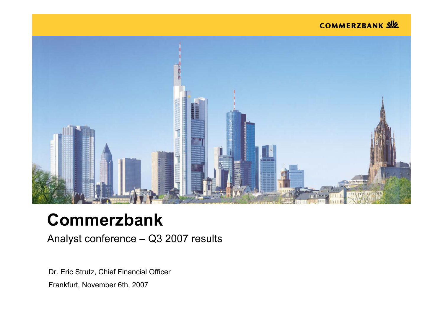## COMMERZBANK SIZ



# **Commerzbank**

Analyst conference – Q3 2007 results

Dr. Eric Strutz, Chief Financial Officer Frankfurt, November 6th, 2007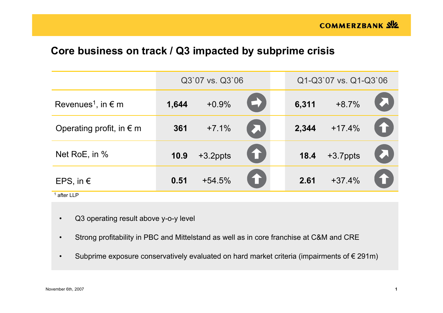## **Core business on track / Q3 impacted by subprime crisis**

|                                         |       | Q3`07 vs. Q3`06 |                       |       | Q1-Q3`07 vs. Q1-Q3`06 |                                   |
|-----------------------------------------|-------|-----------------|-----------------------|-------|-----------------------|-----------------------------------|
| Revenues <sup>1</sup> , in $\epsilon$ m | 1,644 | $+0.9\%$        | $\blacktriangleright$ | 6,311 | $+8.7%$               |                                   |
| Operating profit, in $\epsilon$ m       | 361   | $+7.1%$         | A                     |       | $2,344$ +17.4%        | $\textcolor{red}{\blacktriangle}$ |
| Net RoE, in %                           | 10.9  | $+3.2$ ppts     | 1                     | 18.4  | $+3.7$ ppts           | $\boldsymbol{\Sigma}$             |
| EPS, in $\epsilon$                      | 0.51  | $+54.5%$        | 1                     | 2.61  | $+37.4%$              | 1                                 |

1 after LLP

- •Q3 operating result above y-o-y level
- •Strong profitability in PBC and Mittelstand as well as in core franchise at C&M and CRE
- •Subprime exposure conservatively evaluated on hard market criteria (impairments of  $\epsilon$  291m)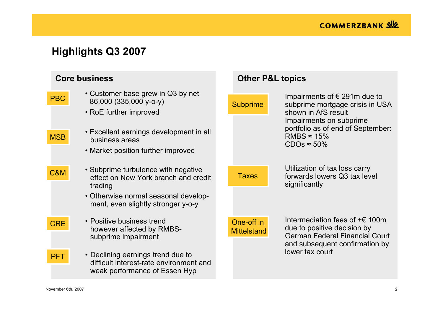# **Highlights Q3 2007**

|                | <b>Core business</b>                                                                                                           | <b>Other P&amp;L topics</b>      |                                                                                                                                                   |
|----------------|--------------------------------------------------------------------------------------------------------------------------------|----------------------------------|---------------------------------------------------------------------------------------------------------------------------------------------------|
| <b>PBC</b>     | • Customer base grew in Q3 by net<br>86,000 (335,000 y-o-y)<br>• RoE further improved                                          | <b>Subprime</b>                  | Impairments of $\epsilon$ 291m due to<br>subprime mortgage crisis in USA<br>shown in AfS result<br>Impairments on subprime                        |
| <b>MSB</b>     | • Excellent earnings development in all<br>business areas<br>• Market position further improved                                |                                  | portfolio as of end of September:<br>RMBS $\approx$ 15%<br>$CDOs \approx 50\%$                                                                    |
| <b>C&amp;M</b> | • Subprime turbulence with negative<br>effect on New York branch and credit<br>trading<br>• Otherwise normal seasonal develop- | <b>Taxes</b>                     | Utilization of tax loss carry<br>forwards lowers Q3 tax level<br>significantly                                                                    |
|                | ment, even slightly stronger y-o-y                                                                                             |                                  |                                                                                                                                                   |
| <b>CRE</b>     | • Positive business trend<br>however affected by RMBS-<br>subprime impairment                                                  | One-off in<br><b>Mittelstand</b> | Intermediation fees of $+\epsilon$ 100m<br>due to positive decision by<br><b>German Federal Financial Court</b><br>and subsequent confirmation by |
| <b>PFT</b>     | • Declining earnings trend due to<br>difficult interest-rate environment and<br>weak performance of Essen Hyp                  |                                  | lower tax court                                                                                                                                   |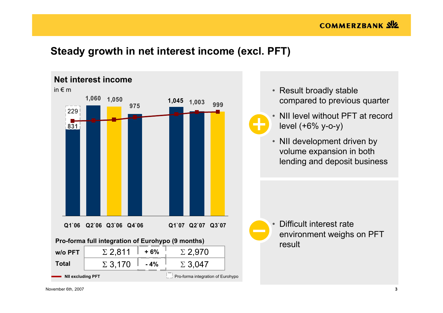## **Steady growth in net interest income (excl. PFT)**

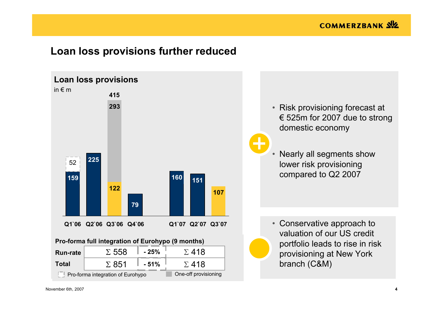## **Loan loss provisions further reduced**



- Risk provisioning forecast at € 525m for 2007 due to strong domestic economy
- Nearly all segments show lower risk provisioning compared to Q2 2007

• Conservative approach to valuation of our US credit portfolio leads to rise in risk provisioning at New York branch (C&M)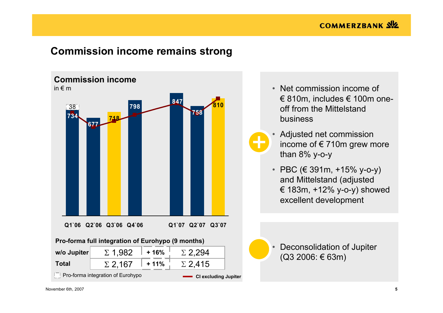## **Commission income remains strong**



- Net commission income of € 810m, includes  $€$  100m oneoff from the Mittelstandbusiness
- Adjusted net commission income of  $\epsilon$  710m grew more than 8% y-o-y
- PBC (€ 391m, +15% y-o-y) and Mittelstand (adjusted € 183m, +12% y-o-y) showed excellent development

 Deconsolidation of Jupiter (Q3 2006: € 63m)

•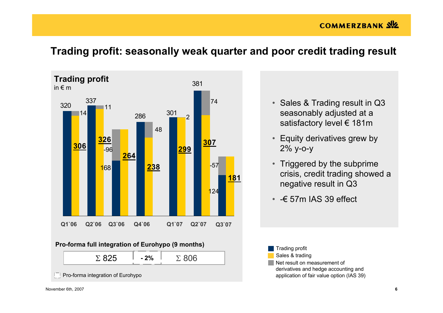## **COMMERZBANK SIZ**



## **Trading profit: seasonally weak quarter and poor credit trading result**



| $\Sigma$ 825 | 20/<br>$\sqrt{0}$ | 306<br>٠<br>∼ |  |
|--------------|-------------------|---------------|--|
|              |                   |               |  |

Pro-forma integration of Eurohypo

- Sales & Trading result in Q3 seasonably adjusted at a satisfactory level € 181m
- Equity derivatives grew by 2% y-o-y
- Triggered by the subprime crisis, credit trading showed a negative result in Q3
- -€ 57m IAS 39 effect

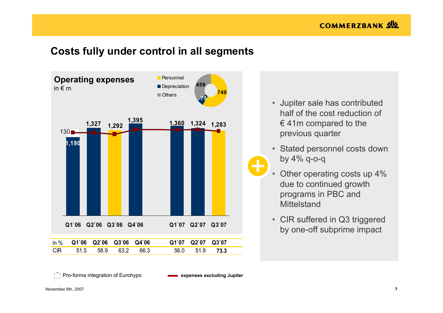## **Costs fully under control in all segments**



- $\bullet$  Jupiter sale has contributed half of the cost reduction of  $\epsilon$  41m compared to the previous quarter
- Stated personnel costs down by 4% q-o-q
- Other operating costs up 4% due to continued growth programs in PBC and **Mittelstand**
- CIR suffered in Q3 triggered by one-off subprime impact

Pro-forma integration of Eurohypo **expenses excluding Jupiter**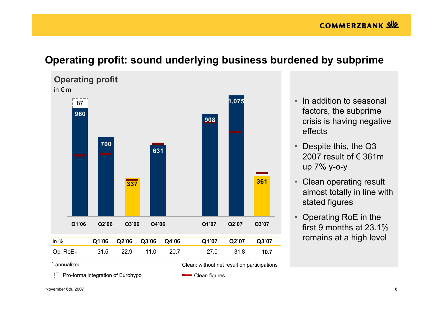## **Operating profit: sound underlying business burdened by subprime**



- In addition to seasonal factors, the subprime crisis is having negative effects
- Despite this, the Q3 2007 result of € 361m up 7% y-o-y
- Clean operating result almost totally in line with stated figures
- Operating RoE in the first 9 months at 23.1% remains at a high level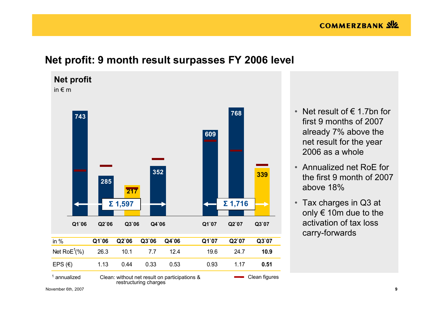## **Net profit: 9 month result surpasses FY 2006 level**



- Net result of € 1.7bn for first 9 months of 2007 already 7% above the net result for the year 2006 as a whole
- Annualized net RoE for the first 9 month of 2007 above 18%
- Tax charges in Q3 at only € 10m due to the activation of tax loss carry-forwards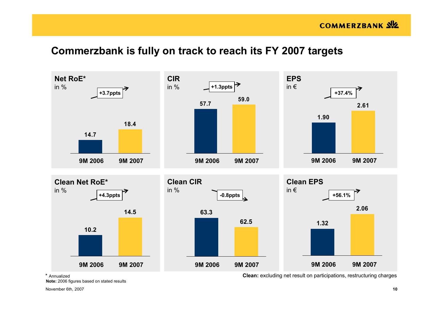## **Commerzbank is fully on track to reach its FY 2007 targets**



\* Annualized

**Note:** 2006 figures based on stated results

November 6th, 2007 **10**

**Clean:** excluding net result on participations, restructuring charges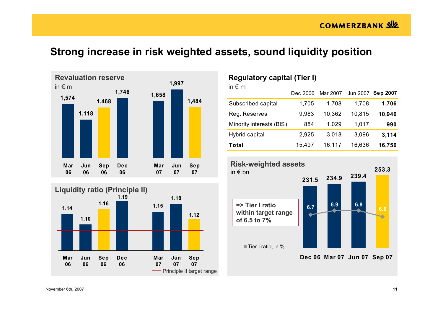# **Strong increase in risk weighted assets, sound liquidity position**





## **Regulatory capital (Tier I)**

| in $\epsilon$ m          |          |          |        |                   |
|--------------------------|----------|----------|--------|-------------------|
|                          | Dec 2006 | Mar 2007 |        | Jun 2007 Sep 2007 |
| Subscribed capital       | 1,705    | 1,708    | 1,708  | 1,706             |
| Reg. Reserves            | 9,983    | 10,362   | 10,815 | 10,946            |
| Minority interests (BIS) | 884      | 1,029    | 1,017  | 990               |
| Hybrid capital           | 2,925    | 3,018    | 3,096  | 3,114             |
| Total                    | 15,497   | 16,117   | 16,636 | 16,756            |



**Dec 06 Mar 07 Jun 07 Sep 07**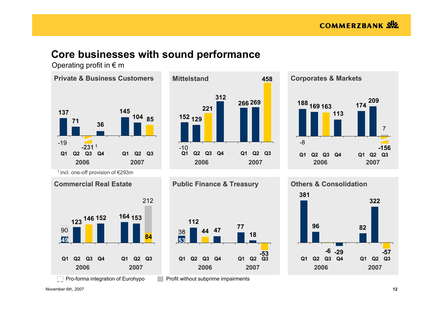## **Core businesses with sound performance**

Operating profit in  $\epsilon$  m







 $\vert$ <sup>-</sup> $\vert$  Pro-forma integration of Eurohypo

Profit without subprime impairments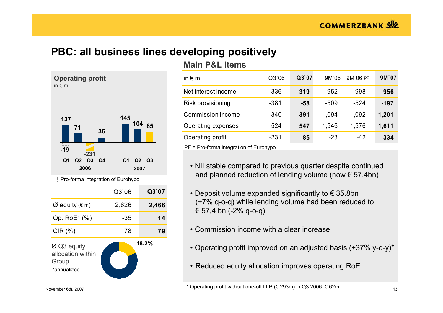# **PBC: all business lines developing positively**



| <b>Main P&amp;L items</b> |  |
|---------------------------|--|
|---------------------------|--|

| in $\epsilon$ m     | Q3'06  | Q3'07 | 9M`06  | $9M$ 06 PF | 9M'07 |
|---------------------|--------|-------|--------|------------|-------|
| Net interest income | 336    | 319   | 952    | 998        | 956   |
| Risk provisioning   | $-381$ | $-58$ | $-509$ | -524       | -197  |
| Commission income   | 340    | 391   | 1,094  | 1,092      | 1,201 |
| Operating expenses  | 524    | 547   | 1,546  | 1,576      | 1,611 |
| Operating profit    | -231   | 85    | $-23$  | $-42$      | 334   |

PF = Pro-forma integration of Eurohypo

- NII stable compared to previous quarter despite continued and planned reduction of lending volume (now  $\epsilon$  57.4bn)
- Deposit volume expanded significantly to € 35.8bn (+7% q-o-q) while lending volume had been reduced to € 57,4 bn (-2% q-o-q)
- Commission income with a clear increase
- Operating profit improved on an adjusted basis (+37% y-o-y)\*
- Reduced equity allocation improves operating RoE

November 6th, 2007 **13** \* Operating profit without one-off LLP (€ 293m) in Q3 2006: € 62m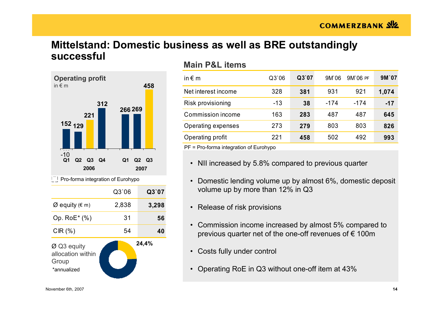# **Mittelstand: Domestic business as well as BRE outstandingly successful**



## **Main P&L items**

| in $\epsilon$ m     | Q3'06 | Q3'07 | 9M'06 | 9M'06 PF | 9M'07 |
|---------------------|-------|-------|-------|----------|-------|
| Net interest income | 328   | 381   | 931   | 921      | 1,074 |
| Risk provisioning   | -13   | 38    | -174  | -174     | $-17$ |
| Commission income   | 163   | 283   | 487   | 487      | 645   |
| Operating expenses  | 273   | 279   | 803   | 803      | 826   |
| Operating profit    | 221   | 458   | 502   | 492      | 993   |

- NII increased by 5.8% compared to previous quarter
- Domestic lending volume up by almost 6%, domestic deposit volume up by more than 12% in Q3
- Release of risk provisions
- Commission income increased by almost 5% compared to previous quarter net of the one-off revenues of  $\epsilon$  100m
- Costs fully under control
- Operating RoE in Q3 without one-off item at 43%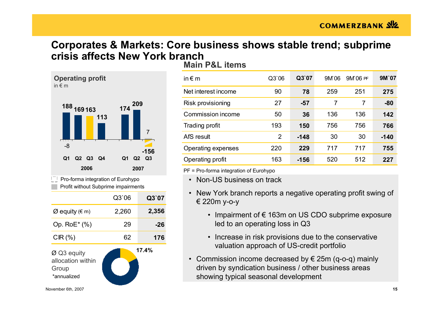## **Corporates & Markets: Core business shows stable trend; subprime crisis affects New York branch**



Profit without Subprime impairments



**Main P&L items**

| in $\notin$ m       | Q3`06          | Q3'07  | 9M 06 | 9M 06 PF | 9M'07  |
|---------------------|----------------|--------|-------|----------|--------|
| Net interest income | 90             | 78     | 259   | 251      | 275    |
| Risk provisioning   | 27             | $-57$  | 7     | 7        | $-80$  |
| Commission income   | 50             | 36     | 136   | 136      | 142    |
| Trading profit      | 193            | 150    | 756   | 756      | 766    |
| AfS result          | $\overline{2}$ | $-148$ | 30    | 30       | $-140$ |
| Operating expenses  | 220            | 229    | 717   | 717      | 755    |
| Operating profit    | 163            | $-156$ | 520   | 512      | 227    |

- Non-US business on track
- New York branch reports a negative operating profit swing of € 220m y-o-y
	- Impairment of € 163m on US CDO subprime exposure led to an operating loss in Q3
	- Increase in risk provisions due to the conservative valuation approach of US-credit portfolio
- Commission income decreased by € 25m (q-o-q) mainly driven by syndication business / other business areas showing typical seasonal development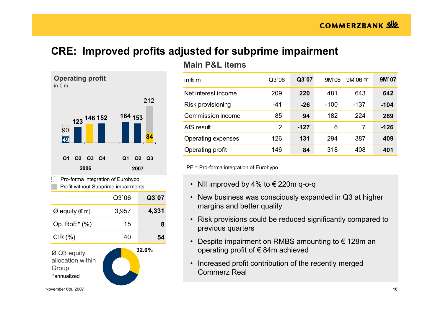# **CRE: Improved profits adjusted for subprime impairment**



## **Main P&L items**

| in $\epsilon$ m     | Q3'06          | Q3'07  | 9M 06  | 9M 06 PF | 9M'07  |
|---------------------|----------------|--------|--------|----------|--------|
| Net interest income | 209            | 220    | 481    | 643      | 642    |
| Risk provisioning   | -41            | $-26$  | $-100$ | -137     | $-104$ |
| Commission income   | 85             | 94     | 182    | 224      | 289    |
| AfS result          | $\overline{2}$ | $-127$ | 6      | 7        | $-126$ |
| Operating expenses  | 126            | 131    | 294    | 387      | 409    |
| Operating profit    | 146            | 84     | 318    | 408      | 401    |

- NII improved by 4% to € 220m q-o-q
- New business was consciously expanded in Q3 at higher margins and better quality
- Risk provisions could be reduced significantly compared to previous quarters
- Despite impairment on RMBS amounting to € 128m an operating profit of € 84m achieved
- Increased profit contribution of the recently merged Commerz Real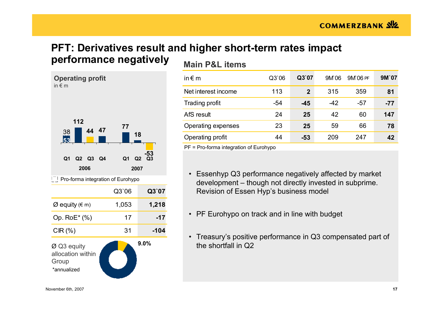# **PFT: Derivatives result and higher short-term rates impact performance negatively**

**Operating profit** in € mØ Q3 equity allocation within Group \*annualized $|\cdot|$  Pro-forma integration of Eurohypo **2006 20079.0%44 47 1125377-53 18** $\frac{38}{1}$   $\frac{44}{1}$   $\frac{47}{1}$   $\frac{49}{1}$  1 **Q1 Q2 Q3 Q4 Q1 Q2 Q3** Q3`06 **Q3`07** Ø equity (€ m) 1,053 **1,218** Op. RoE\* (%) 17 **-17** CIR (%) 31 **-104**

## **Main P&L items**

| in $\notin$ m       | Q3'06 | Q3`07        | 9M 06 | 9M 06 PF | 9M'07 |
|---------------------|-------|--------------|-------|----------|-------|
| Net interest income | 113   | $\mathbf{2}$ | 315   | 359      | 81    |
| Trading profit      | -54   | $-45$        | $-42$ | -57      | $-77$ |
| AfS result          | 24    | 25           | 42    | 60       | 147   |
| Operating expenses  | 23    | 25           | 59    | 66       | 78    |
| Operating profit    | 44    | $-53$        | 209   | 247      | 42    |

- Essenhyp Q3 performance negatively affected by market development – though not directly invested in subprime. Revision of Essen Hyp's business model
- PF Eurohypo on track and in line with budget
- Treasury's positive performance in Q3 compensated part of the shortfall in Q2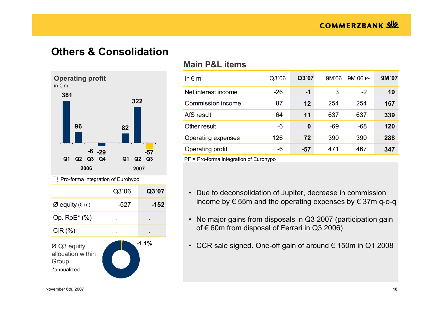## **Others & Consolidation**



### **Main P&L items**

| Q3`06 | Q3`07 | 9M 06 | 9M 06 PF | 9M'07 |
|-------|-------|-------|----------|-------|
| $-26$ | -1    | 3     | $-2$     | 19    |
| 87    | 12    | 254   | 254      | 157   |
| 64    | 11    | 637   | 637      | 339   |
| -6    | 0     | $-69$ | $-68$    | 120   |
| 126   | 72    | 390   | 390      | 288   |
| -6    | $-57$ | 471   | 467      | 347   |
|       |       |       |          |       |

- Due to deconsolidation of Jupiter, decrease in commission income by € 55m and the operating expenses by € 37m q-o-q
- No major gains from disposals in Q3 2007 (participation gain of  $€$  60m from disposal of Ferrari in Q3 2006)
- CCR sale signed. One-off gain of around € 150m in Q1 2008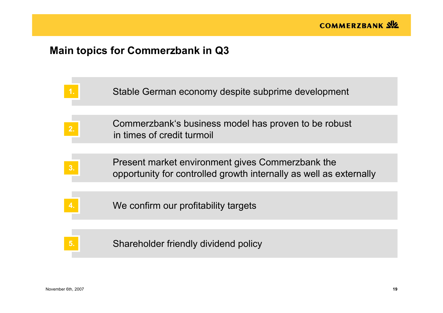# **Main topics for Commerzbank in Q3**

|    | Stable German economy despite subprime development                                                                     |
|----|------------------------------------------------------------------------------------------------------------------------|
| 2. | Commerzbank's business model has proven to be robust<br>in times of credit turmoil                                     |
| 3. | Present market environment gives Commerzbank the<br>opportunity for controlled growth internally as well as externally |
|    | We confirm our profitability targets                                                                                   |
|    | Shareholder friendly dividend policy                                                                                   |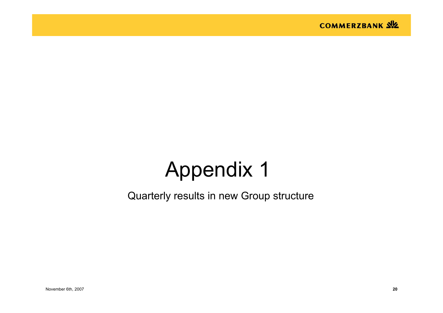

# Appendix 1

Quarterly results in new Group structure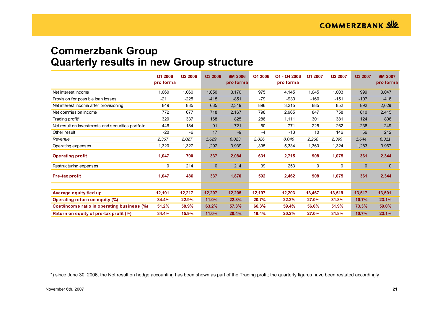## **Commerzbank Group Quarterly results in new Group structure**

|                                                    | Q1 2006<br>pro forma | Q <sub>2</sub> 2006 | Q3 2006      | <b>9M 2006</b><br>pro forma | Q4 2006 | Q1 - Q4 2006<br>pro forma | Q1 2007 | Q2 2007 | Q3 2007      | 9M 2007<br>pro forma |
|----------------------------------------------------|----------------------|---------------------|--------------|-----------------------------|---------|---------------------------|---------|---------|--------------|----------------------|
| Net interest income                                | 1,060                | 1,060               | 1,050        | 3,170                       | 975     | 4,145                     | 1,045   | 1,003   | 999          | 3,047                |
| Provision for possible loan losses                 | $-211$               | $-225$              | $-415$       | $-851$                      | $-79$   | $-930$                    | $-160$  | $-151$  | $-107$       | $-418$               |
| Net interest income after provisioning             | 849                  | 835                 | 635          | 2,319                       | 896     | 3,215                     | 885     | 852     | 892          | 2,629                |
| Net commission income                              | 772                  | 677                 | 718          | 2,167                       | 798     | 2,965                     | 847     | 758     | 810          | 2,415                |
| Trading profit*                                    | 320                  | 337                 | 168          | 825                         | 286     | 1,111                     | 301     | 381     | 124          | 806                  |
| Net result on investments and securities portfolio | 446                  | 184                 | 91           | 721                         | 50      | 771                       | 225     | 262     | $-238$       | 249                  |
| Other result                                       | $-20$                | $-6$                | 17           | $-9$                        | $-4$    | $-13$                     | 10      | 146     | 56           | 212                  |
| Revenue                                            | 2,367                | 2,027               | 1,629        | 6,023                       | 2,026   | 8,049                     | 2,268   | 2,399   | 1,644        | 6,311                |
| Operating expenses                                 | 1,320                | 1,327               | 1,292        | 3,939                       | 1,395   | 5,334                     | 1,360   | 1,324   | 1,283        | 3,967                |
| <b>Operating profit</b>                            | 1,047                | 700                 | 337          | 2,084                       | 631     | 2,715                     | 908     | 1,075   | 361          | 2,344                |
| Restructuring expenses                             | 0                    | 214                 | $\mathbf{0}$ | 214                         | 39      | 253                       | 0       | 0       | $\mathbf{0}$ | $\mathbf 0$          |
| Pre-tax profit                                     | 1,047                | 486                 | 337          | 1,870                       | 592     | 2,462                     | 908     | 1,075   | 361          | 2,344                |
|                                                    |                      |                     |              |                             |         |                           |         |         |              |                      |
| Average equity tied up                             | 12,191               | 12,217              | 12,207       | 12,205                      | 12,197  | 12,203                    | 13,467  | 13,519  | 13,517       | 13,501               |
| Operating return on equity (%)                     | 34.4%                | 22.9%               | 11.0%        | 22.8%                       | 20.7%   | 22.2%                     | 27.0%   | 31.8%   | 10.7%        | 23.1%                |
| Cost/income ratio in operating business (%)        | 51.2%                | 58.9%               | 63.2%        | 57.3%                       | 66.3%   | 59.4%                     | 56.0%   | 51.9%   | 73.3%        | 59.0%                |
| Return on equity of pre-tax profit (%)             | 34.4%                | 15.9%               | 11.0%        | 20.4%                       | 19.4%   | 20.2%                     | 27.0%   | 31.8%   | 10.7%        | 23.1%                |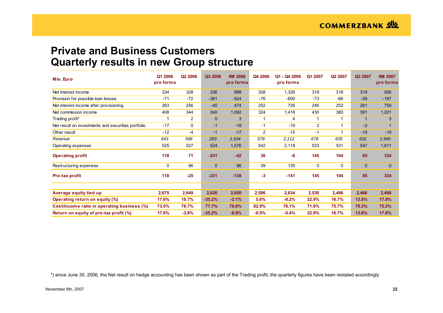## **Private and Business Customers Quarterly results in new Group structure**

| Mio. Euro                                          | Q1 2006<br>pro forma | Q <sub>2</sub> 2006 | Q3 2006     | <b>9M 2006</b><br>pro forma | Q4 2006        | Q1 - Q4 2006<br>pro forma | Q1 2007 | Q2 2007 | Q3 2007     | 9M 2007<br>pro forma |
|----------------------------------------------------|----------------------|---------------------|-------------|-----------------------------|----------------|---------------------------|---------|---------|-------------|----------------------|
| Net interest income                                | 334                  | 328                 | 336         | 998                         | 328            | 1,326                     | 319     | 318     | 319         | 956                  |
| Provision for possible loan losses                 | $-71$                | $-72$               | $-381$      | $-524$                      | $-76$          | $-600$                    | $-73$   | $-66$   | $-58$       | $-197$               |
| Net interest income after provisioning             | 263                  | 256                 | $-45$       | 474                         | 252            | 726                       | 246     | 252     | 261         | 759                  |
| Net commission income                              | 408                  | 344                 | 340         | 1,092                       | 324            | 1,416                     | 430     | 380     | 391         | 1,201                |
| Trading profit*                                    | -1                   | $\overline{2}$      | $\mathbf 0$ | 3                           |                | 4                         |         | 1       |             | 3                    |
| Net result on investments and securities portfolio | $-17$                | 0                   | $-1$        | $-18$                       | $-1$           | $-19$                     | 2       | 1       | $-2$        |                      |
| Other result                                       | $-12$                | $-4$                | $-1$        | $-17$                       | $\overline{2}$ | $-15$                     | -1      | 1       | $-19$       | $-19$                |
| Revenue                                            | 643                  | 598                 | 293         | 1,534                       | 578            | 2,112                     | 678     | 635     | 632         | 1,945                |
| Operating expenses                                 | 525                  | 527                 | 524         | 1,576                       | 542            | 2,118                     | 533     | 531     | 547         | 1,611                |
| <b>Operating profit</b>                            | 118                  | 71                  | $-231$      | $-42$                       | 36             | $-6$                      | 145     | 104     | 85          | 334                  |
| Restructuring expenses                             | 0                    | 96                  | $\mathbf 0$ | 96                          | 39             | 135                       | 0       | 0       | $\mathbf 0$ | $\mathbf 0$          |
| Pre-tax profit                                     | 118                  | $-25$               | $-231$      | $-138$                      | $-3$           | $-141$                    | 145     | 104     | 85          | 334                  |
|                                                    |                      |                     |             |                             |                |                           |         |         |             |                      |
| Average equity tied up                             | 2,675                | 2,649               | 2,626       | 2,650                       | 2,586          | 2,634                     | 2,530   | 2,498   | 2,466       | 2,498                |
| Operating return on equity (%)                     | 17.6%                | 10.7%               | $-35.2%$    | $-2.1%$                     | 5.6%           | $-0.2%$                   | 22.9%   | 16.7%   | 13.8%       | 17.8%                |
| Cost/income ratio in operating business (%)        | 73.5%                | 78.7%               | 77.7%       | 76.6%                       | 82.9%          | 78.1%                     | 71.0%   | 75.7%   | 79.3%       | 75.2%                |
| Return on equity of pre-tax profit (%)             | 17.6%                | $-3.8%$             | $-35.2%$    | $-6.9%$                     | $-0.5%$        | $-5.4%$                   | 22.9%   | 16.7%   | 13.8%       | 17.8%                |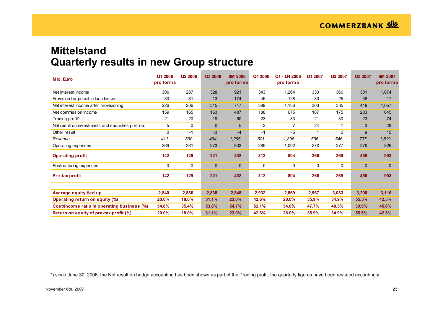## **Mittelstand Quarterly results in new Group structure**

| Mio. Euro                                          | Q1 2006<br>pro forma | Q <sub>2</sub> 2006 | Q3 2006      | <b>9M 2006</b><br>pro forma | Q4 2006        | Q1 - Q4 2006<br>pro forma | Q1 2007 | Q2 2007 | Q3 2007     | 9M 2007<br>pro forma |
|----------------------------------------------------|----------------------|---------------------|--------------|-----------------------------|----------------|---------------------------|---------|---------|-------------|----------------------|
| Net interest income                                | 306                  | 287                 | 328          | 921                         | 343            | 1,264                     | 333     | 360     | 381         | 1,074                |
| Provision for possible loan losses                 | -80                  | $-81$               | $-13$        | $-174$                      | 46             | $-128$                    | $-30$   | $-25$   | 38          | $-17$                |
| Net interest income after provisioning             | 226                  | 206                 | 315          | 747                         | 389            | 1,136                     | 303     | 335     | 419         | 1,057                |
| Net commission income                              | 159                  | 165                 | 163          | 487                         | 188            | 675                       | 187     | 175     | 283         | 645                  |
| Trading profit*                                    | 21                   | 20                  | 19           | 60                          | 23             | 83                        | 21      | 30      | 23          | 74                   |
| Net result on investments and securities portfolio | 5                    | 0                   | $\mathbf{0}$ | 5                           | $\overline{2}$ | $\overline{7}$            | 24      | 1       | 3           | 28                   |
| Other result                                       | 0                    | $-1$                | $-3$         | $-4$                        | $-1$           | $-5$                      |         | 5       | 9           | 15                   |
| Revenue                                            | 411                  | 390                 | 494          | 1,295                       | 601            | 1,896                     | 536     | 546     | 737         | 1,819                |
| Operating expenses                                 | 269                  | 261                 | 273          | 803                         | 289            | 1,092                     | 270     | 277     | 279         | 826                  |
| <b>Operating profit</b>                            | 142                  | 129                 | 221          | 492                         | 312            | 804                       | 266     | 269     | 458         | 993                  |
| Restructuring expenses                             | 0                    | 0                   | $\mathbf 0$  | $\mathbf 0$                 | $\mathbf 0$    | 0                         | 0       | 0       | $\mathbf 0$ | 0                    |
| Pre-tax profit                                     | 142                  | 129                 | 221          | 492                         | 312            | 804                       | 266     | 269     | 458         | 993                  |
|                                                    |                      |                     |              |                             |                |                           |         |         |             |                      |
| Average equity tied up                             | 2,840                | 2,866               | 2,838        | 2,848                       | 2,932          | 2,869                     | 2,967   | 3,083   | 3,298       | 3,116                |
| Operating return on equity (%)                     | 20.0%                | 18.0%               | 31.1%        | 23.0%                       | 42.6%          | 28.0%                     | 35.9%   | 34.9%   | 55.5%       | 42.5%                |
| Cost/income ratio in operating business (%)        | 54.8%                | 55.4%               | 53.8%        | 54.7%                       | 52.1%          | 54.0%                     | 47.7%   | 48.5%   | 39.9%       | 45.0%                |
| Return on equity of pre-tax profit (%)             | 20.0%                | 18.0%               | 31.1%        | 23.0%                       | 42.6%          | 28.0%                     | 35.9%   | 34.9%   | 55.5%       | 42.5%                |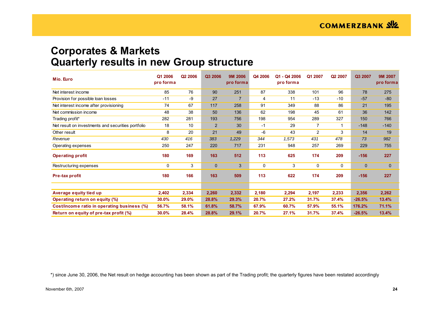## **Corporates & Markets Quarterly results in new Group structure**

| Mio. Euro                                          | Q1 2006<br>pro forma | Q <sub>2</sub> 2006 | Q3 2006        | <b>9M 2006</b><br>pro forma | Q4 2006     | Q1 - Q4 2006<br>pro forma | Q1 2007        | Q <sub>2</sub> 2007 | Q3 2007     | 9M 2007<br>pro forma |
|----------------------------------------------------|----------------------|---------------------|----------------|-----------------------------|-------------|---------------------------|----------------|---------------------|-------------|----------------------|
| Net interest income                                | 85                   | 76                  | 90             | 251                         | 87          | 338                       | 101            | 96                  | 78          | 275                  |
| Provision for possible loan losses                 | $-11$                | -9                  | 27             | 7                           | 4           | 11                        | $-13$          | $-10$               | $-57$       | $-80$                |
| Net interest income after provisioning             | 74                   | 67                  | 117            | 258                         | 91          | 349                       | 88             | 86                  | 21          | 195                  |
| Net commission income                              | 48                   | 38                  | 50             | 136                         | 62          | 198                       | 45             | 61                  | 36          | 142                  |
| Trading profit*                                    | 282                  | 281                 | 193            | 756                         | 198         | 954                       | 289            | 327                 | 150         | 766                  |
| Net result on investments and securities portfolio | 18                   | 10                  | $\overline{2}$ | 30                          | $-1$        | 29                        | $\overline{7}$ | 1                   | $-148$      | $-140$               |
| Other result                                       | 8                    | 20                  | 21             | 49                          | -6          | 43                        | $\overline{2}$ | 3                   | 14          | 19                   |
| Revenue                                            | 430                  | 416                 | 383            | 1,229                       | 344         | 1,573                     | 431            | 478                 | 73          | 982                  |
| Operating expenses                                 | 250                  | 247                 | 220            | 717                         | 231         | 948                       | 257            | 269                 | 229         | 755                  |
| <b>Operating profit</b>                            | 180                  | 169                 | 163            | 512                         | 113         | 625                       | 174            | 209                 | $-156$      | 227                  |
| Restructuring expenses                             | 0                    | 3                   | $\mathbf 0$    | 3                           | $\mathbf 0$ | 3                         | 0              | 0                   | $\mathbf 0$ | $\mathbf 0$          |
| Pre-tax profit                                     | 180                  | 166                 | 163            | 509                         | 113         | 622                       | 174            | 209                 | $-156$      | 227                  |
|                                                    |                      |                     |                |                             |             |                           |                |                     |             |                      |
| Average equity tied up                             | 2,402                | 2,334               | 2,260          | 2,332                       | 2,180       | 2,294                     | 2,197          | 2,233               | 2,356       | 2,262                |
| Operating return on equity (%)                     | 30.0%                | 29.0%               | 28.8%          | 29.3%                       | 20.7%       | 27.2%                     | 31.7%          | 37.4%               | $-26.5%$    | 13.4%                |
| Cost/income ratio in operating business (%)        | 56.7%                | 58.1%               | 61.8%          | 58.7%                       | 67.9%       | 60.7%                     | 57.9%          | 55.1%               | 176.2%      | 71.1%                |
| Return on equity of pre-tax profit (%)             | 30.0%                | 28.4%               | 28.8%          | 29.1%                       | 20.7%       | 27.1%                     | 31.7%          | 37.4%               | $-26.5%$    | 13.4%                |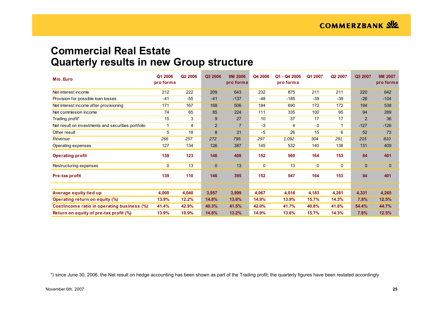## **Commercial Real Estate Quarterly results in new Group structure**

| Mio. Euro                                          | Q1 2006<br>pro forma | Q <sub>2</sub> 2006 | Q3 2006        | <b>9M 2006</b><br>pro forma | Q4 2006     | Q1 - Q4 2006<br>pro forma | Q1 2007 | Q2 2007 | Q3 2007        | <b>9M 2007</b><br>pro forma |
|----------------------------------------------------|----------------------|---------------------|----------------|-----------------------------|-------------|---------------------------|---------|---------|----------------|-----------------------------|
| Net interest income                                | 212                  | 222                 | 209            | 643                         | 232         | 875                       | 211     | 211     | 220            | 642                         |
| Provision for possible loan losses                 | $-41$                | $-55$               | $-41$          | $-137$                      | $-48$       | $-185$                    | $-39$   | $-39$   | $-26$          | $-104$                      |
| Net interest income after provisioning             | 171                  | 167                 | 168            | 506                         | 184         | 690                       | 172     | 172     | 194            | 538                         |
| Net commission income                              | 74                   | 65                  | 85             | 224                         | 111         | 335                       | 100     | 95      | 94             | 289                         |
| Trading profit*                                    | 15                   | 3                   | 9              | 27                          | 10          | 37                        | 17      | 17      | $\overline{2}$ | 36                          |
| Net result on investments and securities portfolio | 1                    | 4                   | $\overline{2}$ | $\overline{7}$              | $-3$        | 4                         | 0       | 1       | $-127$         | $-126$                      |
| Other result                                       | 5                    | 18                  | 8              | 31                          | -5          | 26                        | 15      | 6       | 52             | 73                          |
| Revenue                                            | 266                  | 257                 | 272            | 795                         | 297         | 1,092                     | 304     | 291     | 215            | 810                         |
| Operating expenses                                 | 127                  | 134                 | 126            | 387                         | 145         | 532                       | 140     | 138     | 131            | 409                         |
| <b>Operating profit</b>                            | 139                  | 123                 | 146            | 408                         | 152         | 560                       | 164     | 153     | 84             | 401                         |
| Restructuring expenses                             | 0                    | 13                  | $\mathbf 0$    | 13                          | $\mathbf 0$ | 13                        | 0       | 0       | $\mathbf 0$    | $\mathbf 0$                 |
| Pre-tax profit                                     | 139                  | 110                 | 146            | 395                         | 152         | 547                       | 164     | 153     | 84             | 401                         |
|                                                    |                      |                     |                |                             |             |                           |         |         |                |                             |
| Average equity tied up                             | 4,000                | 4,040               | 3,957          | 3,999                       | 4,067       | 4,016                     | 4,183   | 4,281   | 4,331          | 4,265                       |
| Operating return on equity (%)                     | 13.9%                | 12.2%               | 14.8%          | 13.6%                       | 14.9%       | 13.9%                     | 15.7%   | 14.3%   | 7.8%           | 12.5%                       |
| Cost/income ratio in operating business (%)        | 41.4%                | 42.9%               | 40.3%          | 41.5%                       | 42.0%       | 41.7%                     | 40.8%   | 41.8%   | 54.4%          | 44.7%                       |
| Return on equity of pre-tax profit (%)             | 13.9%                | 10.9%               | 14.8%          | 13.2%                       | 14.9%       | 13.6%                     | 15.7%   | 14.3%   | 7.8%           | 12.5%                       |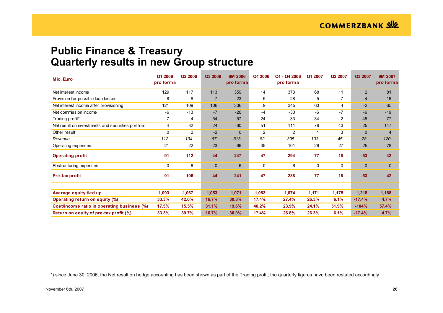## **Public Finance & Treasury Quarterly results in new Group structure**

| Mio. Euro                                          | Q1 2006<br>pro forma | Q <sub>2</sub> 2006 | Q3 2006      | <b>9M 2006</b><br>pro forma | Q4 2006        | Q1 - Q4 2006<br>pro forma | Q1 2007 | Q <sub>2</sub> 2007 | Q3 2007        | 9M 2007<br>pro forma |
|----------------------------------------------------|----------------------|---------------------|--------------|-----------------------------|----------------|---------------------------|---------|---------------------|----------------|----------------------|
| Net interest income                                | 129                  | 117                 | 113          | 359                         | 14             | 373                       | 68      | 11                  | $\overline{2}$ | 81                   |
| Provision for possible loan losses                 | -8                   | -8                  | $-7$         | $-23$                       | $-5$           | $-28$                     | $-5$    | -7                  | $-4$           | $-16$                |
| Net interest income after provisioning             | 121                  | 109                 | 106          | 336                         | 9              | 345                       | 63      | 4                   | $-2$           | 65                   |
| Net commission income                              | $-6$                 | $-13$               | $-7$         | $-26$                       | $-4$           | $-30$                     | $-6$    | -7                  | $-6$           | $-19$                |
| Trading profit*                                    | $-7$                 | 4                   | $-54$        | $-57$                       | 24             | $-33$                     | $-34$   | 2                   | $-45$          | $-77$                |
| Net result on investments and securities portfolio | 4                    | 32                  | 24           | 60                          | 51             | 111                       | 79      | 43                  | 25             | 147                  |
| Other result                                       | 0                    | $\overline{c}$      | $-2$         | $\mathbf 0$                 | $\overline{2}$ | $\overline{c}$            |         | 3                   | $\mathbf{0}$   | $\overline{4}$       |
| Revenue                                            | 112                  | 134                 | 67           | 313                         | 82             | 395                       | 103     | 45                  | $-28$          | 120                  |
| Operating expenses                                 | 21                   | 22                  | 23           | 66                          | 35             | 101                       | 26      | 27                  | 25             | 78                   |
| <b>Operating profit</b>                            | 91                   | 112                 | 44           | 247                         | 47             | 294                       | 77      | 18                  | $-53$          | 42                   |
| Restructuring expenses                             | 0                    | 6                   | $\mathbf{0}$ | 6                           | $\mathbf 0$    | 6                         | 0       | 0                   | 0              | $\mathbf 0$          |
| Pre-tax profit                                     | 91                   | 106                 | 44           | 241                         | 47             | 288                       | 77      | 18                  | $-53$          | 42                   |
|                                                    |                      |                     |              |                             |                |                           |         |                     |                |                      |
| Average equity tied up                             | 1,093                | 1,067               | 1,053        | 1,071                       | 1,083          | 1,074                     | 1,171   | 1,175               | 1,218          | 1,188                |
| Operating return on equity (%)                     | 33.3%                | 42.0%               | 16.7%        | 30.8%                       | 17.4%          | 27.4%                     | 26.3%   | 6.1%                | $-17.4%$       | 4.7%                 |
| Cost/income ratio in operating business (%)        | 17.5%                | 15.5%               | 31.1%        | 19.6%                       | 40.2%          | 23.9%                     | 24.1%   | 51.9%               | $-104%$        | 57.4%                |
| Return on equity of pre-tax profit (%)             | 33.3%                | 39.7%               | 16.7%        | 30.0%                       | 17.4%          | 26.8%                     | 26.3%   | 6.1%                | $-17.4%$       | 4.7%                 |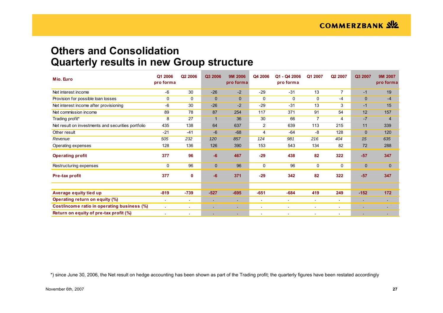## **Others and Consolidation Quarterly results in new Group structure**

| Mio. Euro                                          | Q1 2006<br>pro forma | Q <sub>2</sub> 2006 | Q3 2006     | <b>9M 2006</b><br>pro forma | Q4 2006     | Q1 - Q4 2006<br>pro forma | Q1 2007        | Q <sub>2</sub> 2007 | Q3 2007      | 9M 2007<br>pro forma |
|----------------------------------------------------|----------------------|---------------------|-------------|-----------------------------|-------------|---------------------------|----------------|---------------------|--------------|----------------------|
| Net interest income                                | $-6$                 | 30                  | $-26$       | $-2$                        | $-29$       | $-31$                     | 13             | $\overline{7}$      | $-1$         | 19                   |
| Provision for possible loan losses                 | 0                    | $\mathbf 0$         | $\mathbf 0$ | $\mathbf{0}$                | $\mathbf 0$ | 0                         | 0              | $-4$                | $\mathbf 0$  | $-4$                 |
| Net interest income after provisioning             | -6                   | 30                  | $-26$       | $-2$                        | $-29$       | $-31$                     | 13             | 3                   | $-1$         | 15                   |
| Net commission income                              | 89                   | 78                  | 87          | 254                         | 117         | 371                       | 91             | 54                  | 12           | 157                  |
| Trading profit*                                    | 8                    | 27                  | -1          | 36                          | 30          | 66                        | $\overline{7}$ | 4                   | $-7$         | $\overline{4}$       |
| Net result on investments and securities portfolio | 435                  | 138                 | 64          | 637                         | 2           | 639                       | 113            | 215                 | 11           | 339                  |
| Other result                                       | $-21$                | $-41$               | $-6$        | $-68$                       | 4           | $-64$                     | -8             | 128                 | $\mathbf 0$  | 120                  |
| Revenue                                            | 505                  | 232                 | 120         | 857                         | 124         | 981                       | 216            | 404                 | 15           | 635                  |
| Operating expenses                                 | 128                  | 136                 | 126         | 390                         | 153         | 543                       | 134            | 82                  | 72           | 288                  |
| <b>Operating profit</b>                            | 377                  | 96                  | $-6$        | 467                         | $-29$       | 438                       | 82             | 322                 | $-57$        | 347                  |
| Restructuring expenses                             | 0                    | 96                  | $\mathbf 0$ | 96                          | 0           | 96                        | 0              | 0                   | $\mathbf{0}$ | $\mathbf 0$          |
| Pre-tax profit                                     | 377                  | $\mathbf 0$         | $-6$        | 371                         | $-29$       | 342                       | 82             | 322                 | $-57$        | 347                  |
|                                                    |                      |                     |             |                             |             |                           |                |                     |              |                      |
| Average equity tied up                             | $-819$               | $-739$              | $-527$      | $-695$                      | $-651$      | $-684$                    | 419            | 249                 | $-152$       | 172                  |
| Operating return on equity (%)                     | ×                    | ٠                   |             | $\mathbf{r}$ .              | х.          | ×.                        | ×              | ж.                  | ٠            | ж.                   |
| Cost/income ratio in operating business (%)        | $\mathbf{r}$         | ٠                   |             | ×.                          | ×           | ×                         | ×              | ×.                  |              |                      |
| Return on equity of pre-tax profit (%)             | ٠                    |                     |             | ×.                          | ٠           | ٠                         | х.             |                     | ٠            |                      |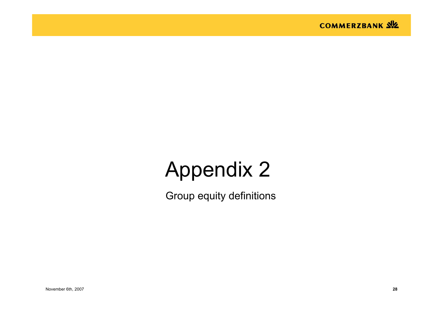

# Appendix 2

Group equity definitions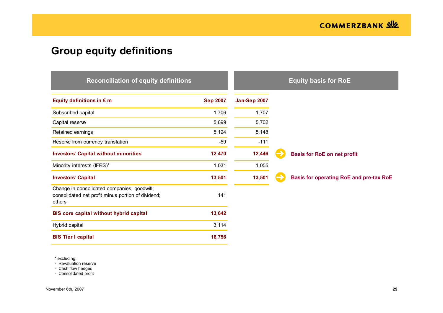# **Group equity definitions**

| <b>Reconciliation of equity definitions</b>                                                                 |                 |                     | <b>Equity basis for RoE</b>                    |
|-------------------------------------------------------------------------------------------------------------|-----------------|---------------------|------------------------------------------------|
| Equity definitions in $\epsilon$ m                                                                          | <b>Sep 2007</b> | <b>Jan-Sep 2007</b> |                                                |
| Subscribed capital                                                                                          | 1,706           | 1,707               |                                                |
| Capital reserve                                                                                             | 5,699           | 5,702               |                                                |
| Retained earnings                                                                                           | 5,124           | 5,148               |                                                |
| Reserve from currency translation                                                                           | $-59$           | $-111$              |                                                |
| <b>Investors' Capital without minorities</b>                                                                | 12,470          | 12,446              | <b>Basis for RoE on net profit</b>             |
| Minority interests (IFRS)*                                                                                  | 1,031           | 1,055               |                                                |
| <b>Investors' Capital</b>                                                                                   | 13,501          | 13,501              | <b>Basis for operating RoE and pre-tax RoE</b> |
| Change in consolidated companies; goodwill;<br>consolidated net profit minus portion of dividend;<br>others | 141             |                     |                                                |
| BIS core capital without hybrid capital                                                                     | 13,642          |                     |                                                |
| Hybrid capital                                                                                              | 3,114           |                     |                                                |
| <b>BIS Tier I capital</b>                                                                                   | 16,756          |                     |                                                |

\* excluding:

- Revaluation reserve

- Cash flow hedges

- Consolidated profit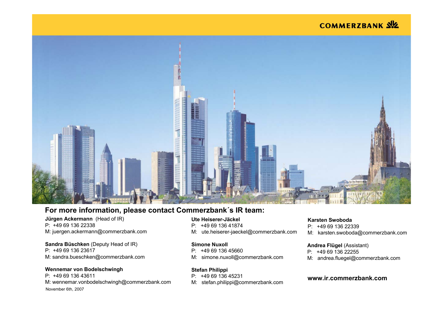## **COMMERZBANK SIZ**



### **For more information, please contact Commerzbank´s IR team:**

### **Jürgen Ackermann** (Head of IR) P: +49 69 136 22338M: juergen.ackermann@commerzbank.com

### **Sandra Büschken** (Deputy Head of IR)

P: +49 69 136 23617M: sandra.bueschken@commerzbank.com

### **Wennemar von Bodelschwingh**

November 6th, 2007 **30** P: +49 69 136 43611M: wennemar.vonbodelschwingh@commerzbank.com

### **Ute Heiserer-Jäckel**

- P: +49 69 136 41874
- M: ute.heiserer-jaeckel@commerzbank.com

#### **Simone Nuxoll**

- P: +49 69 136 45660
- M: simone.nuxoll@commerzbank.com

#### **Stefan Philippi**

- P: +49 69 136 45231
- M: stefan.philippi@commerzbank.com

### **Karsten Swoboda**

P: +49 69 136 22339

M: karsten.swoboda@commerzbank.com

#### **Andrea Flügel** (Assistant)

- P: +49 69 136 22255
- M: andrea.fluegel@commerzbank.com

### **www.ir.commerzbank.com**